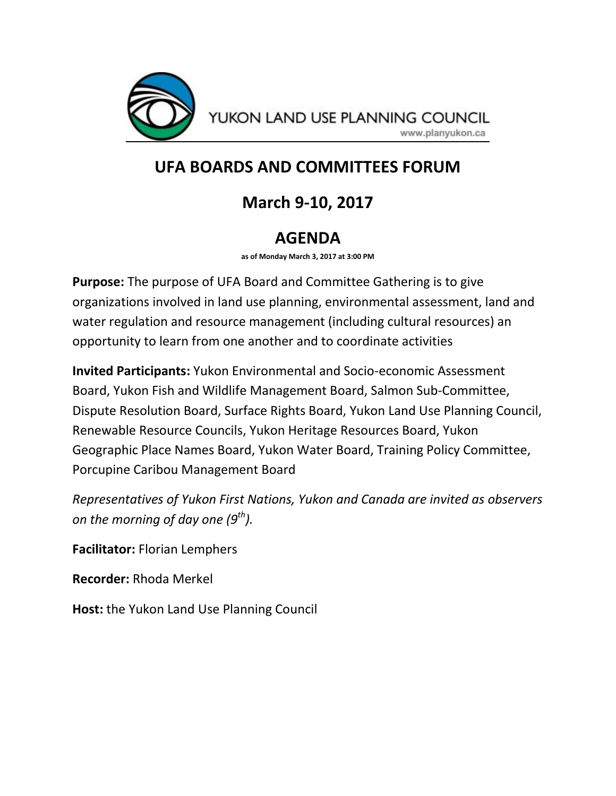

YUKON LAND USE PLANNING COUNCIL

www.planyukon.ca

## **UFA BOARDS AND COMMITTEES FORUM**

# **March 9-10, 2017**

## **AGENDA**

**as of Monday March 3, 2017 at 3:00 PM**

**Purpose:** The purpose of UFA Board and Committee Gathering is to give organizations involved in land use planning, environmental assessment, land and water regulation and resource management (including cultural resources) an opportunity to learn from one another and to coordinate activities

**Invited Participants:** Yukon Environmental and Socio-economic Assessment Board, Yukon Fish and Wildlife Management Board, Salmon Sub-Committee, Dispute Resolution Board, Surface Rights Board, Yukon Land Use Planning Council, Renewable Resource Councils, Yukon Heritage Resources Board, Yukon Geographic Place Names Board, Yukon Water Board, Training Policy Committee, Porcupine Caribou Management Board

*Representatives of Yukon First Nations, Yukon and Canada are invited as observers on the morning of day one (9th).*

**Facilitator:** Florian Lemphers

**Recorder:** Rhoda Merkel

**Host:** the Yukon Land Use Planning Council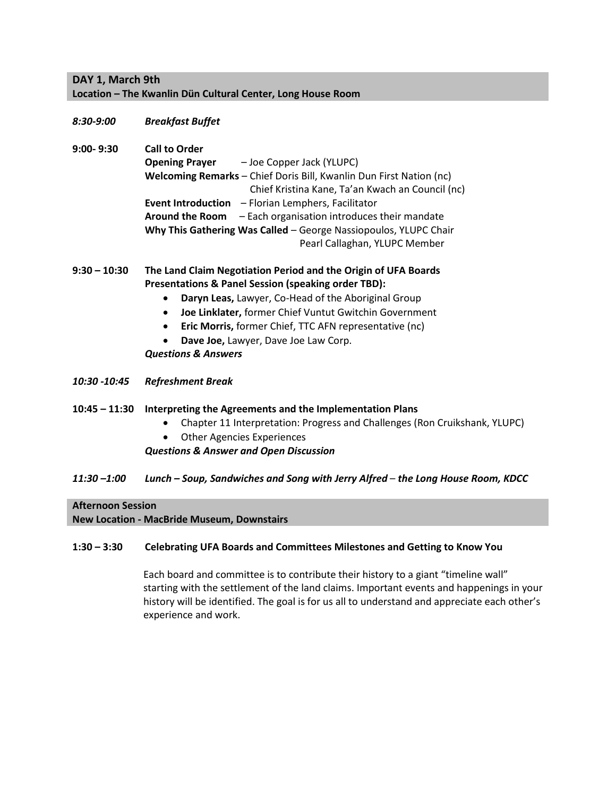### **DAY 1, March 9th Location – The Kwanlin Dün Cultural Center, Long House Room**

*8:30-9:00 Breakfast Buffet*

**9:00- 9:30 Call to Order Opening Prayer** – Joe Copper Jack (YLUPC) **Welcoming Remarks** – Chief Doris Bill, Kwanlin Dun First Nation (nc) Chief Kristina Kane, Ta'an Kwach an Council (nc) **Event Introduction** – Florian Lemphers, Facilitator **Around the Room** – Each organisation introduces their mandate **Why This Gathering Was Called** – George Nassiopoulos, YLUPC Chair Pearl Callaghan, YLUPC Member

### **9:30 – 10:30 The Land Claim Negotiation Period and the Origin of UFA Boards Presentations & Panel Session (speaking order TBD):**

- **Daryn Leas,** Lawyer, Co-Head of the Aboriginal Group
- **Joe Linklater,** former Chief Vuntut Gwitchin Government
- **Eric Morris,** former Chief, TTC AFN representative (nc)
- **Dave Joe,** Lawyer, Dave Joe Law Corp.

*Questions & Answers*

*10:30 -10:45 Refreshment Break* 

#### **10:45 – 11:30 Interpreting the Agreements and the Implementation Plans**

- Chapter 11 Interpretation: Progress and Challenges (Ron Cruikshank, YLUPC)
- Other Agencies Experiences

#### *Questions & Answer and Open Discussion*

*11:30 –1:00 Lunch – Soup, Sandwiches and Song with Jerry Alfred* – *the Long House Room, KDCC*

#### **Afternoon Session**

#### **New Location - MacBride Museum, Downstairs**

#### **1:30 – 3:30 Celebrating UFA Boards and Committees Milestones and Getting to Know You**

Each board and committee is to contribute their history to a giant "timeline wall" starting with the settlement of the land claims. Important events and happenings in your history will be identified. The goal is for us all to understand and appreciate each other's experience and work.